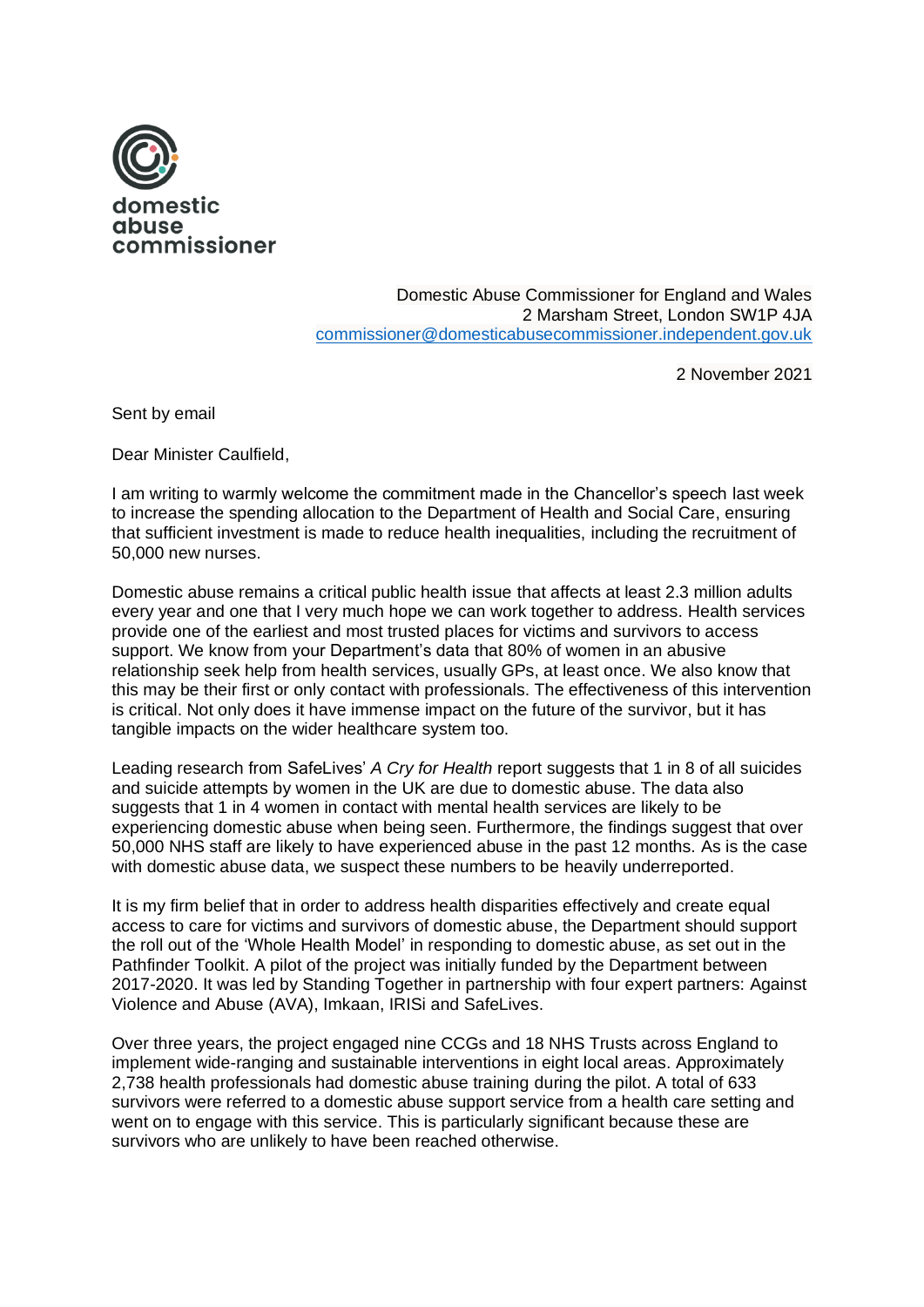

Domestic Abuse Commissioner for England and Wales 2 Marsham Street, London SW1P 4JA [commissioner@domesticabusecommissioner.independent.gov.uk](mailto:commissioner@domesticabusecommissioner.independent.gov.uk)

2 November 2021

Sent by email

Dear Minister Caulfield,

I am writing to warmly welcome the commitment made in the Chancellor's speech last week to increase the spending allocation to the Department of Health and Social Care, ensuring that sufficient investment is made to reduce health inequalities, including the recruitment of 50,000 new nurses.

Domestic abuse remains a critical public health issue that affects at least 2.3 million adults every year and one that I very much hope we can work together to address. Health services provide one of the earliest and most trusted places for victims and survivors to access support. We know from your Department's data that 80% of women in an abusive relationship seek help from health services, usually GPs, at least once. We also know that this may be their first or only contact with professionals. The effectiveness of this intervention is critical. Not only does it have immense impact on the future of the survivor, but it has tangible impacts on the wider healthcare system too.

Leading research from SafeLives' *A Cry for Health* report suggests that 1 in 8 of all suicides and suicide attempts by women in the UK are due to domestic abuse. The data also suggests that 1 in 4 women in contact with mental health services are likely to be experiencing domestic abuse when being seen. Furthermore, the findings suggest that over 50,000 NHS staff are likely to have experienced abuse in the past 12 months. As is the case with domestic abuse data, we suspect these numbers to be heavily underreported.

It is my firm belief that in order to address health disparities effectively and create equal access to care for victims and survivors of domestic abuse, the Department should support the roll out of the 'Whole Health Model' in responding to domestic abuse, as set out in the Pathfinder Toolkit. A pilot of the project was initially funded by the Department between 2017-2020. It was led by Standing Together in partnership with four expert partners: Against Violence and Abuse (AVA), Imkaan, IRISi and SafeLives.

Over three years, the project engaged nine CCGs and 18 NHS Trusts across England to implement wide-ranging and sustainable interventions in eight local areas. Approximately 2,738 health professionals had domestic abuse training during the pilot. A total of 633 survivors were referred to a domestic abuse support service from a health care setting and went on to engage with this service. This is particularly significant because these are survivors who are unlikely to have been reached otherwise.